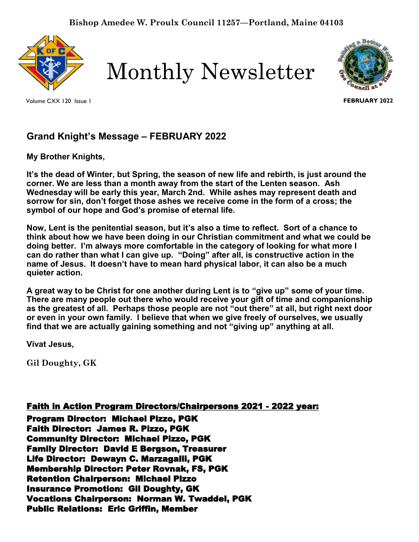

Monthly Newsletter





**FEBRUARY 2022**

# **Grand Knight's Message – FEBRUARY 2022**

**My Brother Knights,** 

**It's the dead of Winter, but Spring, the season of new life and rebirth, is just around the corner. We are less than a month away from the start of the Lenten season. Ash Wednesday will be early this year, March 2nd. While ashes may represent death and sorrow for sin, don't forget those ashes we receive come in the form of a cross; the symbol of our hope and God's promise of eternal life.** 

**Now, Lent is the penitential season, but it's also a time to reflect. Sort of a chance to think about how we have been doing in our Christian commitment and what we could be doing better. I'm always more comfortable in the category of looking for what more I can do rather than what I can give up. "Doing" after all, is constructive action in the name of Jesus. It doesn't have to mean hard physical labor, it can also be a much quieter action.**

**A great way to be Christ for one another during Lent is to "give up" some of your time. There are many people out there who would receive your gift of time and companionship as the greatest of all. Perhaps those people are not "out there" at all, but right next door or even in your own family. I believe that when we give freely of ourselves, we usually find that we are actually gaining something and not "giving up" anything at all.**

**Vivat Jesus,**

**Gil Doughty, GK**

# Faith in Action Program Directors/Chairpersons 2021 - 2022 year:

Program Director: Michael Pizzo, PGK Faith Director: James R. Pizzo, PGK Community Director: Michael Pizzo, PGK Family Director: David E Bergson, Treasurer Life Director: Dewayn C. Marzagalli, PGK Membership Director: Peter Rovnak, FS, PGK Retention Chairperson: Michael Pizzo Insurance Promotion: Gil Doughty, GK Vocations Chairperson: Norman W. Twaddel, PGK Public Relations: Eric Griffin, Member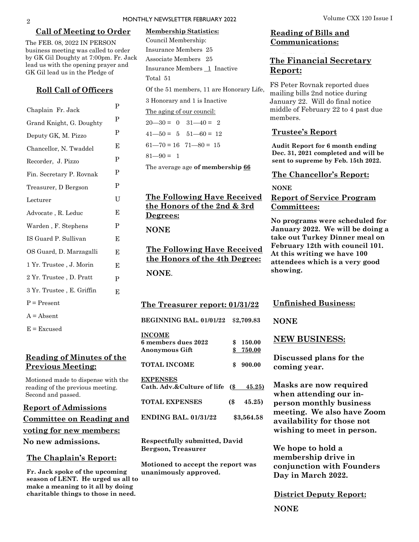#### **Call of Meeting to Order**

The FEB. 08, 2022 IN PERSON business meeting was called to order by GK Gil Doughty at 7:00pm. Fr. Jack lead us with the opening prayer and GK Gil lead us in the Pledge of

#### **Roll Call of Officers**

|                           | P |
|---------------------------|---|
| Chaplain Fr. Jack         | P |
| Grand Knight, G. Doughty  |   |
| Deputy GK, M. Pizzo       | P |
| Chancellor, N. Twaddel    | Е |
| Recorder, J. Pizzo        | P |
| Fin. Secretary P. Rovnak  | P |
| Treasurer, D Bergson      | P |
| Lecturer                  | U |
| Advocate, R. Leduc        | E |
| Warden, F. Stephens       | P |
| IS Guard P. Sullivan      | E |
| OS Guard, D. Marzagalli   | Е |
| 1 Yr. Trustee , J. Morin  | E |
| 2 Yr. Trustee, D. Pratt   | P |
| 3 Yr. Trustee, E. Griffin | E |
| $P = Present$             |   |
| $A = Absent$              |   |
|                           |   |

 $E = Excused$ 

### **Reading of Minutes of the Previous Meeting:**

Motioned made to dispense with the reading of the previous meeting. Second and passed.

# **Report of Admissions Committee on Reading and voting for new members: No new admissions.**

#### **The Chaplain's Report:**

**Fr. Jack spoke of the upcoming season of LENT. He urged us all to make a meaning to it all by doing charitable things to those in need.**

#### **Membership Statistics:**

Council Membership: Insurance Members 25 Associate Members 25 Insurance Members 1 Inactive Total 51

Of the 51 members, 11 are Honorary Life,

3 Honorary and 1 is Inactive

The aging of our council:

 $20 - 30 = 0$   $31 - 40 = 2$  $41 - 50 = 5$   $51 - 60 = 12$ 

 $61 - 70 = 16$   $71 - 80 = 15$ 

 $81 - 90 = 1$ 

The average age **of membership 66**

# **The Following Have Received the Honors of the 2nd & 3rd Degrees:**

**NONE** 

**The Following Have Received the Honors of the 4th Degree: NONE**.

**The Treasurer report: 01/31/22**

**BEGINNING BAL. 01/01/22** \$**2,709.83**

| <b>INCOME</b>                                 |                            |            |
|-----------------------------------------------|----------------------------|------------|
| 6 members dues 2022                           | \$                         | 150.00     |
| <b>Anonymous Gift</b>                         | \$                         | 750.00     |
| TOTAL INCOME                                  | \$                         | 900.00     |
| <b>EXPENSES</b><br>Cath. Adv.&Culture of life | $\left( \text{\$} \right)$ | 45.25)     |
| <b>TOTAL EXPENSES</b>                         | (\$                        | 45.25)     |
| <b>ENDING BAL, 01/31/22</b>                   |                            | \$3,564.58 |

**Respectfully submitted, David Bergson, Treasurer**

**Motioned to accept the report was unanimously approved.**

### **Reading of Bills and Communications:**

# **The Financial Secretary Report:**

FS Peter Rovnak reported dues mailing bills 2nd notice during January 22. Will do final notice middle of February 22 to 4 past due members.

#### **Trustee's Report**

**Audit Report for 6 month ending Dec. 31, 2021 completed and will be sent to supreme by Feb. 15th 2022.**

#### **The Chancellor's Report:**

## **NONE Report of Service Program Committees:**

**No programs were scheduled for January 2022. We will be doing a take out Turkey Dinner meal on February 12th with council 101. At this writing we have 100 attendees which is a very good showing.**

### **Unfinished Business:**

**NONE**

### **NEW BUSINESS:**

**Discussed plans for the coming year.**

**Masks are now required when attending our inperson monthly business meeting. We also have Zoom availability for those not wishing to meet in person.**

**We hope to hold a membership drive in conjunction with Founders Day in March 2022.**

**District Deputy Report:**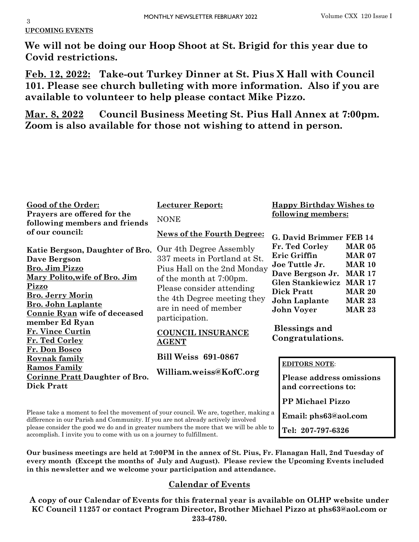#### 3 **UPCOMING EVENTS**

**We will not be doing our Hoop Shoot at St. Brigid for this year due to Covid restrictions.** 

**Feb. 12, 2022: Take-out Turkey Dinner at St. Pius X Hall with Council 101. Please see church bulleting with more information. Also if you are available to volunteer to help please contact Mike Pizzo.** 

**Mar. 8, 2022 Council Business Meeting St. Pius Hall Annex at 7:00pm. Zoom is also available for those not wishing to attend in person.** 

| <b>Good of the Order:</b><br>Prayers are offered for the<br>following members and friends                                                                                                                                                                           | <b>Lecturer Report:</b><br><b>NONE</b>                                                                                                                                                                 | <b>Happy Birthday Wishes to</b><br>following members:                                                                                                                                                                                                                                              |  |
|---------------------------------------------------------------------------------------------------------------------------------------------------------------------------------------------------------------------------------------------------------------------|--------------------------------------------------------------------------------------------------------------------------------------------------------------------------------------------------------|----------------------------------------------------------------------------------------------------------------------------------------------------------------------------------------------------------------------------------------------------------------------------------------------------|--|
| of our council:                                                                                                                                                                                                                                                     | <b>News of the Fourth Degree:</b>                                                                                                                                                                      | G. David Brimmer FEB 14                                                                                                                                                                                                                                                                            |  |
| Katie Bergson, Daughter of Bro.<br>Dave Bergson<br>Bro. Jim Pizzo<br>Mary Polito, wife of Bro. Jim<br><b>Pizzo</b><br><b>Bro. Jerry Morin</b><br><b>Bro. John Laplante</b><br><b>Connie Ryan wife of deceased</b>                                                   | Our 4th Degree Assembly<br>337 meets in Portland at St.<br>Pius Hall on the 2nd Monday<br>of the month at 7:00pm.<br>Please consider attending<br>the 4th Degree meeting they<br>are in need of member | Fr. Ted Corley<br><b>MAR 05</b><br>Eric Griffin<br><b>MAR 07</b><br>Joe Tuttle Jr.<br><b>MAR 10</b><br>Dave Bergson Jr.<br><b>MAR 17</b><br><b>Glen Stankiewicz</b><br><b>MAR 17</b><br><b>Dick Pratt</b><br><b>MAR 20</b><br><b>MAR 23</b><br>John Laplante<br><b>MAR 23</b><br><b>John Voyer</b> |  |
| member Ed Ryan<br>Fr. Vince Curtin<br>Fr. Ted Corley                                                                                                                                                                                                                | participation.<br><b>COUNCIL INSURANCE</b><br><b>AGENT</b>                                                                                                                                             | <b>Blessings and</b><br>Congratulations.                                                                                                                                                                                                                                                           |  |
| Fr. Don Bosco<br><b>Rovnak family</b>                                                                                                                                                                                                                               | <b>Bill Weiss 691-0867</b>                                                                                                                                                                             |                                                                                                                                                                                                                                                                                                    |  |
| <b>Ramos Family</b><br><b>Corinne Pratt Daughter of Bro.</b><br><b>Dick Pratt</b>                                                                                                                                                                                   | William.weiss@KofC.org                                                                                                                                                                                 | <b>EDITORS NOTE:</b><br><b>Please address omissions</b><br>and corrections to:                                                                                                                                                                                                                     |  |
|                                                                                                                                                                                                                                                                     |                                                                                                                                                                                                        | <b>PP Michael Pizzo</b>                                                                                                                                                                                                                                                                            |  |
| Please take a moment to feel the movement of your council. We are, together, making a<br>difference in our Parish and Community. If you are not already actively involved<br>please consider the good we do and in greater numbers the more that we will be able to |                                                                                                                                                                                                        | Email: phs63@aol.com<br>Tel: 207-797-6326                                                                                                                                                                                                                                                          |  |

accomplish. I invite you to come with us on a journey to fulfillment.

**Our business meetings are held at 7:00PM in the annex of St. Pius, Fr. Flanagan Hall, 2nd Tuesday of every month (Except the months of July and August). Please review the Upcoming Events included in this newsletter and we welcome your participation and attendance.** 

# **Calendar of Events**

**A copy of our Calendar of Events for this fraternal year is available on OLHP website under KC Council 11257 or contact Program Director, Brother Michael Pizzo at phs63@aol.com or 233-4780.**